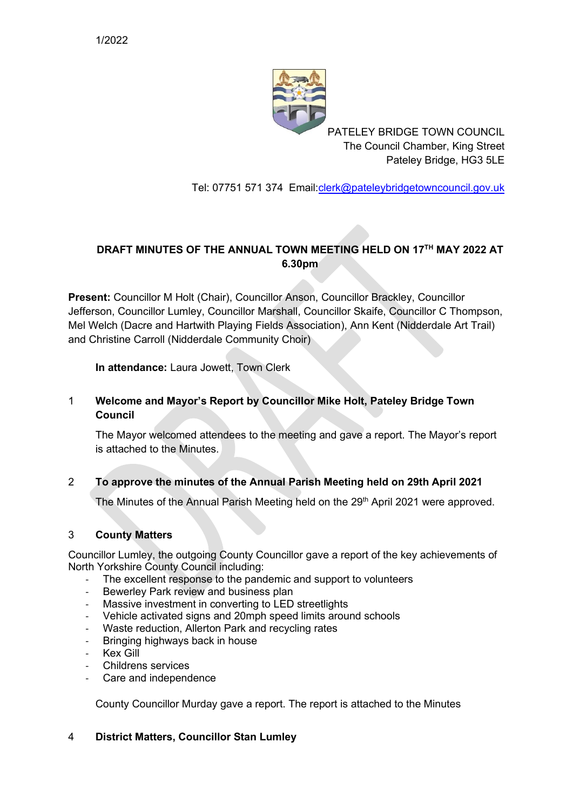

PATELEY BRIDGE TOWN COUNCIL The Council Chamber, King Street Pateley Bridge, HG3 5LE

Tel: 07751 571 374 Email[:clerk@pateleybridgetowncouncil.gov.uk](mailto:clerk@pateleybridgetowncouncil.gov.uk)

# **DRAFT MINUTES OF THE ANNUAL TOWN MEETING HELD ON 17TH MAY 2022 AT 6.30pm**

**Present:** Councillor M Holt (Chair), Councillor Anson, Councillor Brackley, Councillor Jefferson, Councillor Lumley, Councillor Marshall, Councillor Skaife, Councillor C Thompson, Mel Welch (Dacre and Hartwith Playing Fields Association), Ann Kent (Nidderdale Art Trail) and Christine Carroll (Nidderdale Community Choir)

**In attendance:** Laura Jowett, Town Clerk

# 1 **Welcome and Mayor's Report by Councillor Mike Holt, Pateley Bridge Town Council**

The Mayor welcomed attendees to the meeting and gave a report. The Mayor's report is attached to the Minutes.

# 2 **To approve the minutes of the Annual Parish Meeting held on 29th April 2021**

The Minutes of the Annual Parish Meeting held on the 29<sup>th</sup> April 2021 were approved.

#### 3 **County Matters**

Councillor Lumley, the outgoing County Councillor gave a report of the key achievements of North Yorkshire County Council including:

- The excellent response to the pandemic and support to volunteers
- Bewerley Park review and business plan
- Massive investment in converting to LED streetlights
- Vehicle activated signs and 20mph speed limits around schools
- Waste reduction, Allerton Park and recycling rates
- Bringing highways back in house
- Kex Gill
- Childrens services
- Care and independence

County Councillor Murday gave a report. The report is attached to the Minutes

#### 4 **District Matters, Councillor Stan Lumley**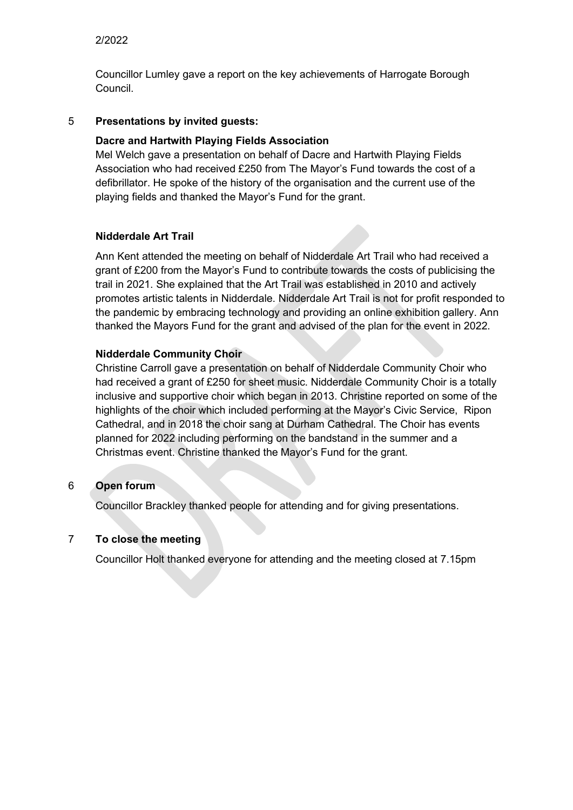## 2/2022

Councillor Lumley gave a report on the key achievements of Harrogate Borough Council.

## 5 **Presentations by invited guests:**

## **Dacre and Hartwith Playing Fields Association**

Mel Welch gave a presentation on behalf of Dacre and Hartwith Playing Fields Association who had received £250 from The Mayor's Fund towards the cost of a defibrillator. He spoke of the history of the organisation and the current use of the playing fields and thanked the Mayor's Fund for the grant.

## **Nidderdale Art Trail**

Ann Kent attended the meeting on behalf of Nidderdale Art Trail who had received a grant of £200 from the Mayor's Fund to contribute towards the costs of publicising the trail in 2021. She explained that the Art Trail was established in 2010 and actively promotes artistic talents in Nidderdale. Nidderdale Art Trail is not for profit responded to the pandemic by embracing technology and providing an online exhibition gallery. Ann thanked the Mayors Fund for the grant and advised of the plan for the event in 2022.

## **Nidderdale Community Choir**

Christine Carroll gave a presentation on behalf of Nidderdale Community Choir who had received a grant of £250 for sheet music. Nidderdale Community Choir is a totally inclusive and supportive choir which began in 2013. Christine reported on some of the highlights of the choir which included performing at the Mayor's Civic Service, Ripon Cathedral, and in 2018 the choir sang at Durham Cathedral. The Choir has events planned for 2022 including performing on the bandstand in the summer and a Christmas event. Christine thanked the Mayor's Fund for the grant.

#### 6 **Open forum**

Councillor Brackley thanked people for attending and for giving presentations.

# 7 **To close the meeting**

Councillor Holt thanked everyone for attending and the meeting closed at 7.15pm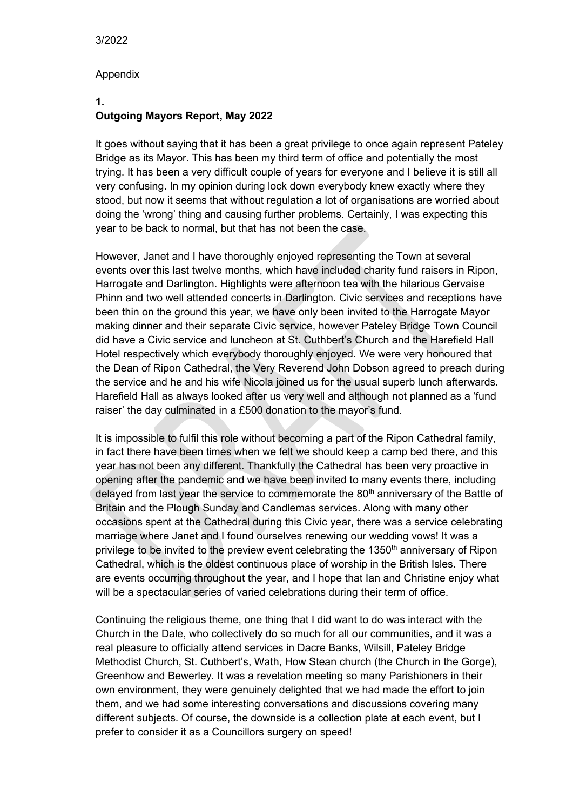#### Appendix

#### **1. Outgoing Mayors Report, May 2022**

It goes without saying that it has been a great privilege to once again represent Pateley Bridge as its Mayor. This has been my third term of office and potentially the most trying. It has been a very difficult couple of years for everyone and I believe it is still all very confusing. In my opinion during lock down everybody knew exactly where they stood, but now it seems that without regulation a lot of organisations are worried about doing the 'wrong' thing and causing further problems. Certainly, I was expecting this year to be back to normal, but that has not been the case.

However, Janet and I have thoroughly enjoyed representing the Town at several events over this last twelve months, which have included charity fund raisers in Ripon, Harrogate and Darlington. Highlights were afternoon tea with the hilarious Gervaise Phinn and two well attended concerts in Darlington. Civic services and receptions have been thin on the ground this year, we have only been invited to the Harrogate Mayor making dinner and their separate Civic service, however Pateley Bridge Town Council did have a Civic service and luncheon at St. Cuthbert's Church and the Harefield Hall Hotel respectively which everybody thoroughly enjoyed. We were very honoured that the Dean of Ripon Cathedral, the Very Reverend John Dobson agreed to preach during the service and he and his wife Nicola joined us for the usual superb lunch afterwards. Harefield Hall as always looked after us very well and although not planned as a 'fund raiser' the day culminated in a £500 donation to the mayor's fund.

It is impossible to fulfil this role without becoming a part of the Ripon Cathedral family, in fact there have been times when we felt we should keep a camp bed there, and this year has not been any different. Thankfully the Cathedral has been very proactive in opening after the pandemic and we have been invited to many events there, including delayed from last year the service to commemorate the 80<sup>th</sup> anniversary of the Battle of Britain and the Plough Sunday and Candlemas services. Along with many other occasions spent at the Cathedral during this Civic year, there was a service celebrating marriage where Janet and I found ourselves renewing our wedding vows! It was a privilege to be invited to the preview event celebrating the 1350<sup>th</sup> anniversary of Ripon Cathedral, which is the oldest continuous place of worship in the British Isles. There are events occurring throughout the year, and I hope that Ian and Christine enjoy what will be a spectacular series of varied celebrations during their term of office.

Continuing the religious theme, one thing that I did want to do was interact with the Church in the Dale, who collectively do so much for all our communities, and it was a real pleasure to officially attend services in Dacre Banks, Wilsill, Pateley Bridge Methodist Church, St. Cuthbert's, Wath, How Stean church (the Church in the Gorge), Greenhow and Bewerley. It was a revelation meeting so many Parishioners in their own environment, they were genuinely delighted that we had made the effort to join them, and we had some interesting conversations and discussions covering many different subjects. Of course, the downside is a collection plate at each event, but I prefer to consider it as a Councillors surgery on speed!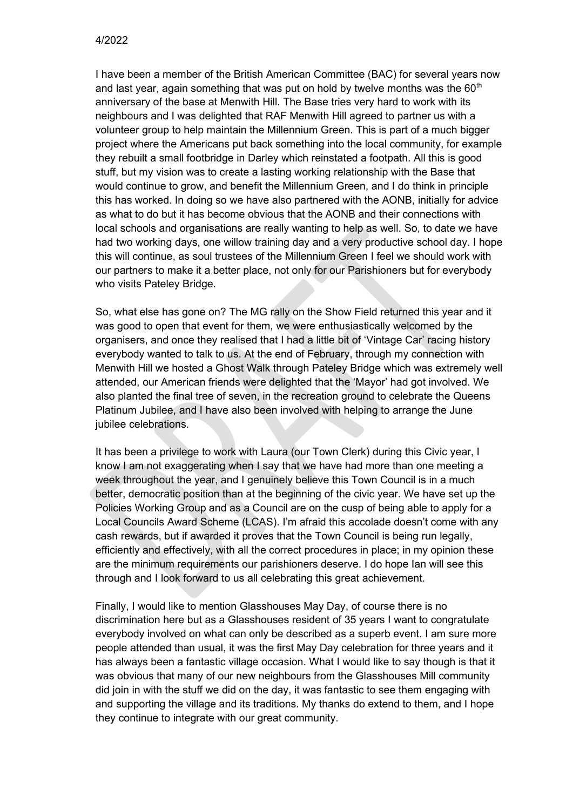I have been a member of the British American Committee (BAC) for several years now and last year, again something that was put on hold by twelve months was the  $60<sup>th</sup>$ anniversary of the base at Menwith Hill. The Base tries very hard to work with its neighbours and I was delighted that RAF Menwith Hill agreed to partner us with a volunteer group to help maintain the Millennium Green. This is part of a much bigger project where the Americans put back something into the local community, for example they rebuilt a small footbridge in Darley which reinstated a footpath. All this is good stuff, but my vision was to create a lasting working relationship with the Base that would continue to grow, and benefit the Millennium Green, and I do think in principle this has worked. In doing so we have also partnered with the AONB, initially for advice as what to do but it has become obvious that the AONB and their connections with local schools and organisations are really wanting to help as well. So, to date we have had two working days, one willow training day and a very productive school day. I hope this will continue, as soul trustees of the Millennium Green I feel we should work with our partners to make it a better place, not only for our Parishioners but for everybody who visits Pateley Bridge.

So, what else has gone on? The MG rally on the Show Field returned this year and it was good to open that event for them, we were enthusiastically welcomed by the organisers, and once they realised that I had a little bit of 'Vintage Car' racing history everybody wanted to talk to us. At the end of February, through my connection with Menwith Hill we hosted a Ghost Walk through Pateley Bridge which was extremely well attended, our American friends were delighted that the 'Mayor' had got involved. We also planted the final tree of seven, in the recreation ground to celebrate the Queens Platinum Jubilee, and I have also been involved with helping to arrange the June jubilee celebrations.

It has been a privilege to work with Laura (our Town Clerk) during this Civic year, I know I am not exaggerating when I say that we have had more than one meeting a week throughout the year, and I genuinely believe this Town Council is in a much better, democratic position than at the beginning of the civic year. We have set up the Policies Working Group and as a Council are on the cusp of being able to apply for a Local Councils Award Scheme (LCAS). I'm afraid this accolade doesn't come with any cash rewards, but if awarded it proves that the Town Council is being run legally, efficiently and effectively, with all the correct procedures in place; in my opinion these are the minimum requirements our parishioners deserve. I do hope Ian will see this through and I look forward to us all celebrating this great achievement.

Finally, I would like to mention Glasshouses May Day, of course there is no discrimination here but as a Glasshouses resident of 35 years I want to congratulate everybody involved on what can only be described as a superb event. I am sure more people attended than usual, it was the first May Day celebration for three years and it has always been a fantastic village occasion. What I would like to say though is that it was obvious that many of our new neighbours from the Glasshouses Mill community did join in with the stuff we did on the day, it was fantastic to see them engaging with and supporting the village and its traditions. My thanks do extend to them, and I hope they continue to integrate with our great community.